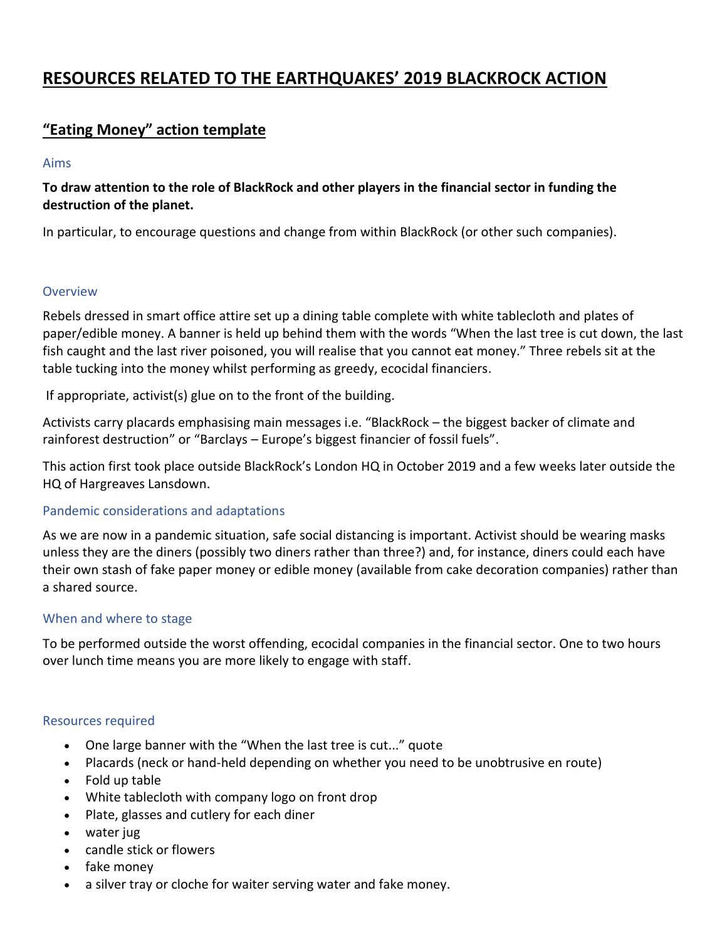# **RESOURCES RELATED TO THE EARTHQUAKES' 2019 BLACKROCK ACTION**

## **"Eating Money" action template**

### Aims

## **To draw attention to the role of BlackRock and other players in the financial sector in funding the destruction of the planet.**

In particular, to encourage questions and change from within BlackRock (or other such companies).

### Overview

Rebels dressed in smart office attire set up a dining table complete with white tablecloth and plates of paper/edible money. A banner is held up behind them with the words "When the last tree is cut down, the last fish caught and the last river poisoned, you will realise that you cannot eat money." Three rebels sit at the table tucking into the money whilst performing as greedy, ecocidal financiers.

If appropriate, activist(s) glue on to the front of the building.

Activists carry placards emphasising main messages i.e. "BlackRock – the biggest backer of climate and rainforest destruction" or "Barclays – Europe's biggest financier of fossil fuels".

This action first took place outside BlackRock's London HQ in October 2019 and a few weeks later outside the HQ of Hargreaves Lansdown.

## Pandemic considerations and adaptations

As we are now in a pandemic situation, safe social distancing is important. Activist should be wearing masks unless they are the diners (possibly two diners rather than three?) and, for instance, diners could each have their own stash of fake paper money or edible money (available from cake decoration companies) rather than a shared source.

## When and where to stage

To be performed outside the worst offending, ecocidal companies in the financial sector. One to two hours over lunch time means you are more likely to engage with staff.

## Resources required

- One large banner with the "When the last tree is cut..." quote
- Placards (neck or hand-held depending on whether you need to be unobtrusive en route)
- Fold up table
- White tablecloth with company logo on front drop
- Plate, glasses and cutlery for each diner
- water jug
- candle stick or flowers
- fake money
- a silver tray or cloche for waiter serving water and fake money.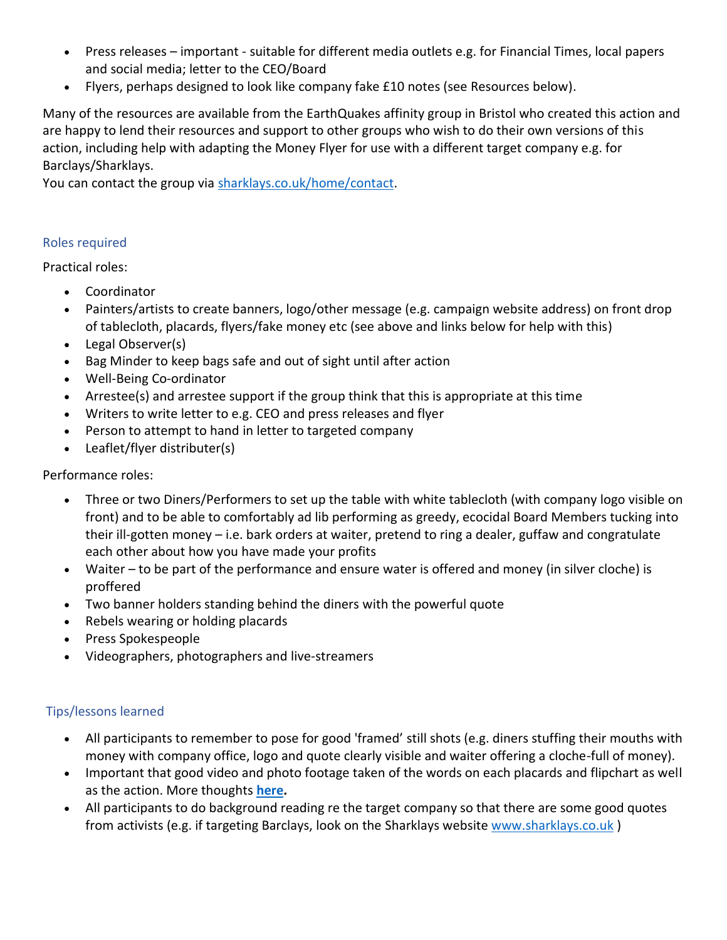- Press releases important suitable for different media outlets e.g. for Financial Times, local papers and social media; letter to the CEO/Board
- Flyers, perhaps designed to look like company fake £10 notes (see Resources below).

Many of the resources are available from the EarthQuakes affinity group in Bristol who created this action and are happy to lend their resources and support to other groups who wish to do their own versions of this action, including help with adapting the Money Flyer for use with a different target company e.g. for Barclays/Sharklays.

You can contact the group via [sharklays.co.uk/home/contact.](https://sharklays.co.uk/Home/Contact)

### Roles required

Practical roles:

- Coordinator
- Painters/artists to create banners, logo/other message (e.g. campaign website address) on front drop of tablecloth, placards, flyers/fake money etc (see above and links below for help with this)
- Legal Observer(s)
- Bag Minder to keep bags safe and out of sight until after action
- Well-Being Co-ordinator
- Arrestee(s) and arrestee support if the group think that this is appropriate at this time
- Writers to write letter to e.g. CEO and press releases and flyer
- Person to attempt to hand in letter to targeted company
- Leaflet/flyer distributer(s)

## Performance roles:

- Three or two Diners/Performers to set up the table with white tablecloth (with company logo visible on front) and to be able to comfortably ad lib performing as greedy, ecocidal Board Members tucking into their ill-gotten money – i.e. bark orders at waiter, pretend to ring a dealer, guffaw and congratulate each other about how you have made your profits
- Waiter to be part of the performance and ensure water is offered and money (in silver cloche) is proffered
- Two banner holders standing behind the diners with the powerful quote
- Rebels wearing or holding placards
- Press Spokespeople
- Videographers, photographers and live-streamers

## Tips/lessons learned

- All participants to remember to pose for good 'framed' still shots (e.g. diners stuffing their mouths with money with company office, logo and quote clearly visible and waiter offering a cloche-full of money).
- Important that good video and photo footage taken of the words on each placards and flipchart as well as the action. More thoughts **[here.](https://1drv.ms/b/s!ArXLSZysR8Xc0VtnffMiK3G4s11w)**
- All participants to do background reading re the target company so that there are some good quotes from activists (e.g. if targeting Barclays, look on the Sharklays website www.sharklays.co.uk)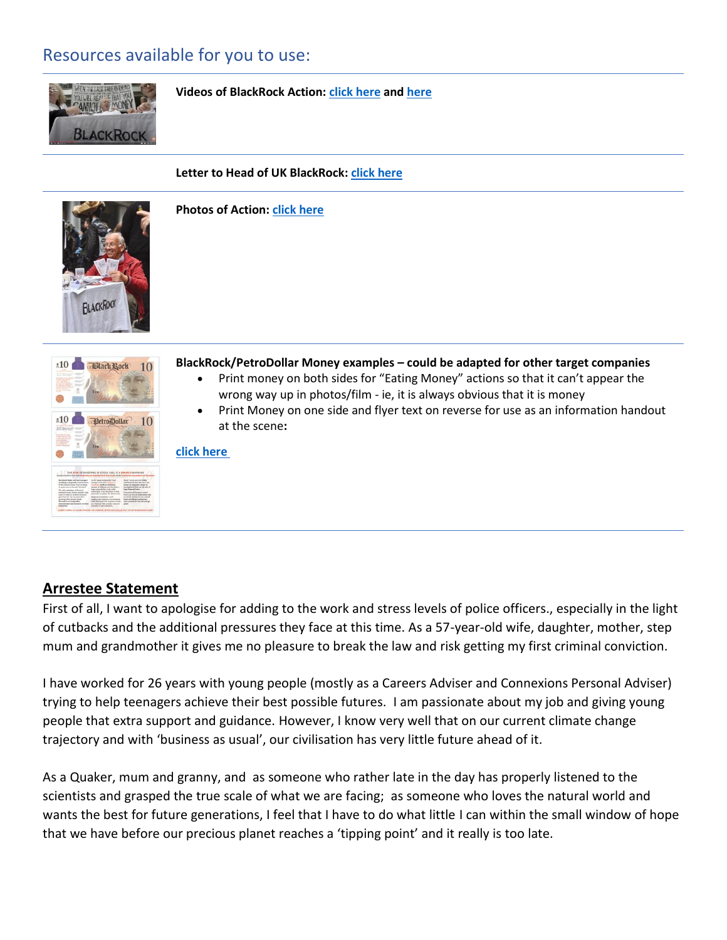## Resources available for you to use:



**Videos of BlackRock Action: [click here](https://youtu.be/i3ncTaTWUPo) and [here](https://www.blackrocksbigproblem.com/post/extinction-rebellion-swarms-blackrock-london)**

#### **Letter to Head of UK BlackRock[: click here](https://1drv.ms/w/s!ArXLSZysR8XczBBX_a3K2f_yZ8Fv)**



**Photos of Action[: click here](https://1drv.ms/f/s!ArXLSZysR8Xc1ALKqmXTnNPC3PXL)**



#### **BlackRock/PetroDollar Money examples – could be adapted for other target companies**

- Print money on both sides for "Eating Money" actions so that it can't appear the wrong way up in photos/film - ie, it is always obvious that it is money
- Print Money on one side and flyer text on reverse for use as an information handout at the scene**:**

#### **[click here](https://drive.google.com/drive/folders/1f1qOVK41xpiyuZ_clLO5LGl6dhakA-WS?usp=sharing)**

## **Arrestee Statement**

First of all, I want to apologise for adding to the work and stress levels of police officers., especially in the light of cutbacks and the additional pressures they face at this time. As a 57-year-old wife, daughter, mother, step mum and grandmother it gives me no pleasure to break the law and risk getting my first criminal conviction.

I have worked for 26 years with young people (mostly as a Careers Adviser and Connexions Personal Adviser) trying to help teenagers achieve their best possible futures. I am passionate about my job and giving young people that extra support and guidance. However, I know very well that on our current climate change trajectory and with 'business as usual', our civilisation has very little future ahead of it.

As a Quaker, mum and granny, and as someone who rather late in the day has properly listened to the scientists and grasped the true scale of what we are facing; as someone who loves the natural world and wants the best for future generations, I feel that I have to do what little I can within the small window of hope that we have before our precious planet reaches a 'tipping point' and it really is too late.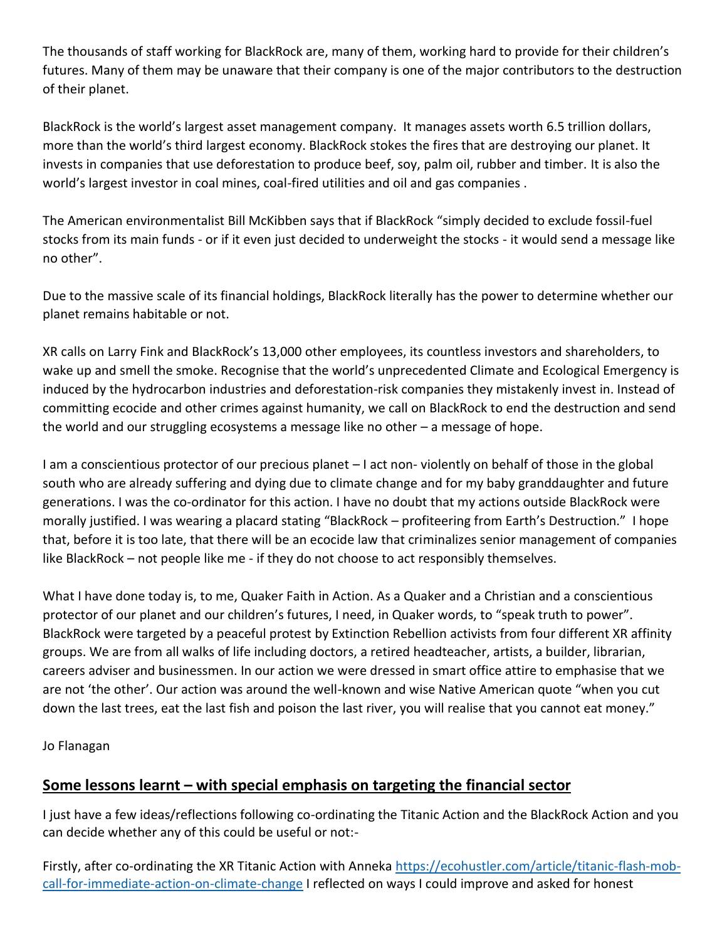The thousands of staff working for BlackRock are, many of them, working hard to provide for their children's futures. Many of them may be unaware that their company is one of the major contributors to the destruction of their planet.

BlackRock is the world's largest asset management company. It manages assets worth 6.5 trillion dollars, more than the world's third largest economy. BlackRock stokes the fires that are destroying our planet. It invests in companies that use deforestation to produce beef, soy, palm oil, rubber and timber. It is also the world's largest investor in coal mines, coal-fired utilities and oil and gas companies .

The American environmentalist Bill McKibben says that if BlackRock "simply decided to exclude fossil-fuel stocks from its main funds - or if it even just decided to underweight the stocks - it would send a message like no other".

Due to the massive scale of its financial holdings, BlackRock literally has the power to determine whether our planet remains habitable or not.

XR calls on Larry Fink and BlackRock's 13,000 other employees, its countless investors and shareholders, to wake up and smell the smoke. Recognise that the world's unprecedented Climate and Ecological Emergency is induced by the hydrocarbon industries and deforestation-risk companies they mistakenly invest in. Instead of committing ecocide and other crimes against humanity, we call on BlackRock to end the destruction and send the world and our struggling ecosystems a message like no other – a message of hope.

I am a conscientious protector of our precious planet – I act non- violently on behalf of those in the global south who are already suffering and dying due to climate change and for my baby granddaughter and future generations. I was the co-ordinator for this action. I have no doubt that my actions outside BlackRock were morally justified. I was wearing a placard stating "BlackRock – profiteering from Earth's Destruction." I hope that, before it is too late, that there will be an ecocide law that criminalizes senior management of companies like BlackRock – not people like me - if they do not choose to act responsibly themselves.

What I have done today is, to me, Quaker Faith in Action. As a Quaker and a Christian and a conscientious protector of our planet and our children's futures, I need, in Quaker words, to "speak truth to power". BlackRock were targeted by a peaceful protest by Extinction Rebellion activists from four different XR affinity groups. We are from all walks of life including doctors, a retired headteacher, artists, a builder, librarian, careers adviser and businessmen. In our action we were dressed in smart office attire to emphasise that we are not 'the other'. Our action was around the well-known and wise Native American quote "when you cut down the last trees, eat the last fish and poison the last river, you will realise that you cannot eat money."

Jo Flanagan

## **Some lessons learnt – with special emphasis on targeting the financial sector**

I just have a few ideas/reflections following co-ordinating the Titanic Action and the BlackRock Action and you can decide whether any of this could be useful or not:-

Firstly, after co-ordinating the XR Titanic Action with Anneka [https://ecohustler.com/article/titanic-flash-mob](https://ecohustler.com/article/titanic-flash-mob-call-for-immediate-action-on-climate-change)[call-for-immediate-action-on-climate-change](https://ecohustler.com/article/titanic-flash-mob-call-for-immediate-action-on-climate-change) I reflected on ways I could improve and asked for honest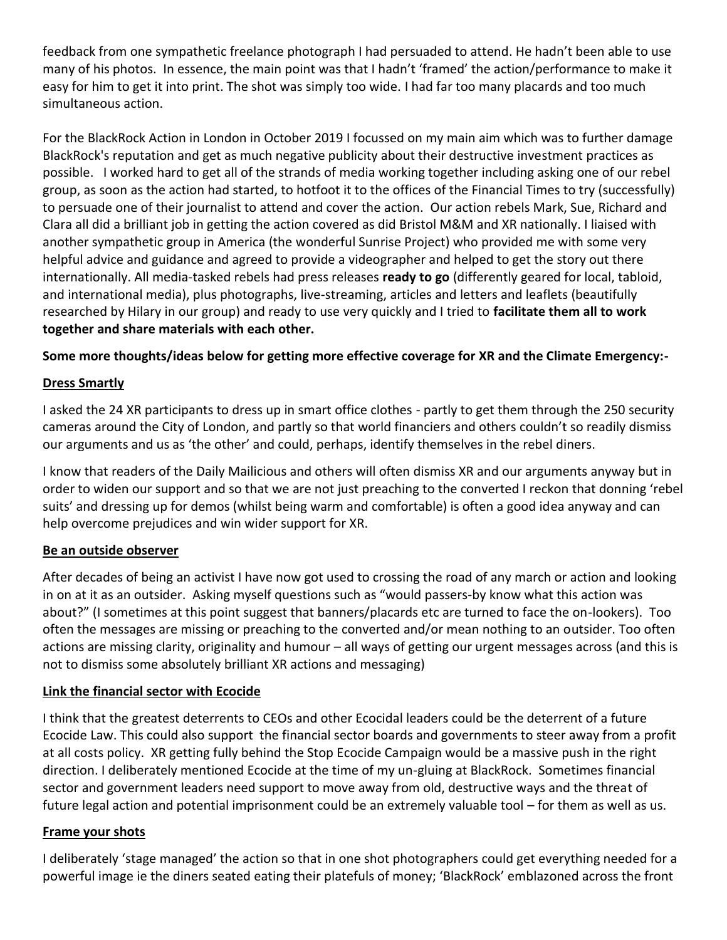feedback from one sympathetic freelance photograph I had persuaded to attend. He hadn't been able to use many of his photos. In essence, the main point was that I hadn't 'framed' the action/performance to make it easy for him to get it into print. The shot was simply too wide. I had far too many placards and too much simultaneous action.

For the BlackRock Action in London in October 2019 I focussed on my main aim which was to further damage BlackRock's reputation and get as much negative publicity about their destructive investment practices as possible. I worked hard to get all of the strands of media working together including asking one of our rebel group, as soon as the action had started, to hotfoot it to the offices of the Financial Times to try (successfully) to persuade one of their journalist to attend and cover the action. Our action rebels Mark, Sue, Richard and Clara all did a brilliant job in getting the action covered as did Bristol M&M and XR nationally. I liaised with another sympathetic group in America (the wonderful Sunrise Project) who provided me with some very helpful advice and guidance and agreed to provide a videographer and helped to get the story out there internationally. All media-tasked rebels had press releases **ready to go** (differently geared for local, tabloid, and international media), plus photographs, live-streaming, articles and letters and leaflets (beautifully researched by Hilary in our group) and ready to use very quickly and I tried to **facilitate them all to work together and share materials with each other.** 

## **Some more thoughts/ideas below for getting more effective coverage for XR and the Climate Emergency:-**

## **Dress Smartly**

I asked the 24 XR participants to dress up in smart office clothes - partly to get them through the 250 security cameras around the City of London, and partly so that world financiers and others couldn't so readily dismiss our arguments and us as 'the other' and could, perhaps, identify themselves in the rebel diners.

I know that readers of the Daily Mailicious and others will often dismiss XR and our arguments anyway but in order to widen our support and so that we are not just preaching to the converted I reckon that donning 'rebel suits' and dressing up for demos (whilst being warm and comfortable) is often a good idea anyway and can help overcome prejudices and win wider support for XR.

### **Be an outside observer**

After decades of being an activist I have now got used to crossing the road of any march or action and looking in on at it as an outsider. Asking myself questions such as "would passers-by know what this action was about?" (I sometimes at this point suggest that banners/placards etc are turned to face the on-lookers). Too often the messages are missing or preaching to the converted and/or mean nothing to an outsider. Too often actions are missing clarity, originality and humour – all ways of getting our urgent messages across (and this is not to dismiss some absolutely brilliant XR actions and messaging)

### **Link the financial sector with Ecocide**

I think that the greatest deterrents to CEOs and other Ecocidal leaders could be the deterrent of a future Ecocide Law. This could also support the financial sector boards and governments to steer away from a profit at all costs policy. XR getting fully behind the Stop Ecocide Campaign would be a massive push in the right direction. I deliberately mentioned Ecocide at the time of my un-gluing at BlackRock. Sometimes financial sector and government leaders need support to move away from old, destructive ways and the threat of future legal action and potential imprisonment could be an extremely valuable tool – for them as well as us.

### **Frame your shots**

I deliberately 'stage managed' the action so that in one shot photographers could get everything needed for a powerful image ie the diners seated eating their platefuls of money; 'BlackRock' emblazoned across the front